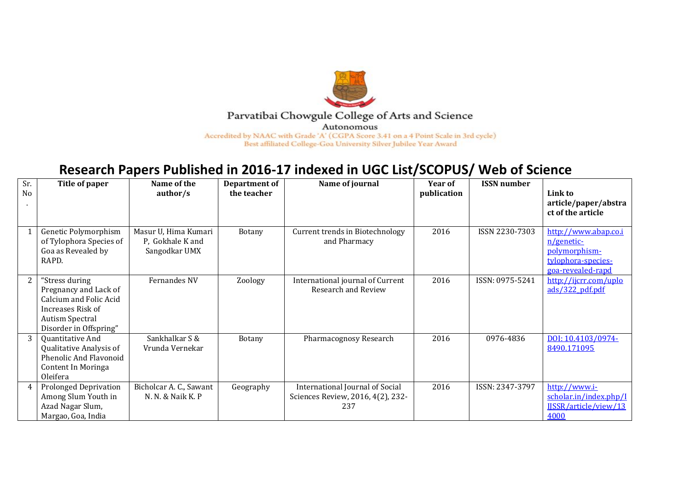

## Parvatibai Chowgule College of Arts and Science

Autonomous

Accredited by NAAC with Grade 'A' (CGPA Score 3.41 on a 4 Point Scale in 3rd cycle) Best affiliated College-Goa University Silver Jubilee Year Award

## **Research Papers Published in 2016-17 indexed in UGC List/SCOPUS/ Web of Science**

| Sr. | Title of paper                                                                                                                             | Name of the                                               | Department of | Name of journal                                                             | Year of     | <b>ISSN</b> number |                                                                                                |
|-----|--------------------------------------------------------------------------------------------------------------------------------------------|-----------------------------------------------------------|---------------|-----------------------------------------------------------------------------|-------------|--------------------|------------------------------------------------------------------------------------------------|
| No  |                                                                                                                                            | $\frac{1}{s}$                                             | the teacher   |                                                                             | publication |                    | Link to<br>article/paper/abstra<br>ct of the article                                           |
|     | Genetic Polymorphism<br>of Tylophora Species of<br>Goa as Revealed by<br>RAPD.                                                             | Masur U, Hima Kumari<br>P. Gokhale K and<br>Sangodkar UMX | <b>Botany</b> | Current trends in Biotechnology<br>and Pharmacy                             | 2016        | ISSN 2230-7303     | http://www.abap.co.i<br>n/genetic-<br>polymorphism-<br>tylophora-species-<br>goa-revealed-rapd |
|     | "Stress during<br>Pregnancy and Lack of<br>Calcium and Folic Acid<br>Increases Risk of<br><b>Autism Spectral</b><br>Disorder in Offspring" | Fernandes NV                                              | Zoology       | International journal of Current<br><b>Research and Review</b>              | 2016        | ISSN: 0975-5241    | http://ijcrr.com/uplo<br>ads/322 pdf.pdf                                                       |
| 3   | Quantitative And<br>Qualitative Analysis of<br><b>Phenolic And Flavonoid</b><br>Content In Moringa<br>Oleifera                             | Sankhalkar S &<br>Vrunda Vernekar                         | Botany        | Pharmacognosy Research                                                      | 2016        | 0976-4836          | DOI: 10.4103/0974-<br>8490.171095                                                              |
| 4   | <b>Prolonged Deprivation</b><br>Among Slum Youth in<br>Azad Nagar Slum,<br>Margao, Goa, India                                              | Bicholcar A. C., Sawant<br>N. N. & Naik K. P              | Geography     | International Journal of Social<br>Sciences Review, 2016, 4(2), 232-<br>237 | 2016        | ISSN: 2347-3797    | http://www.i-<br>scholar.in/index.php/I<br>IJSSR/article/view/13<br>4000                       |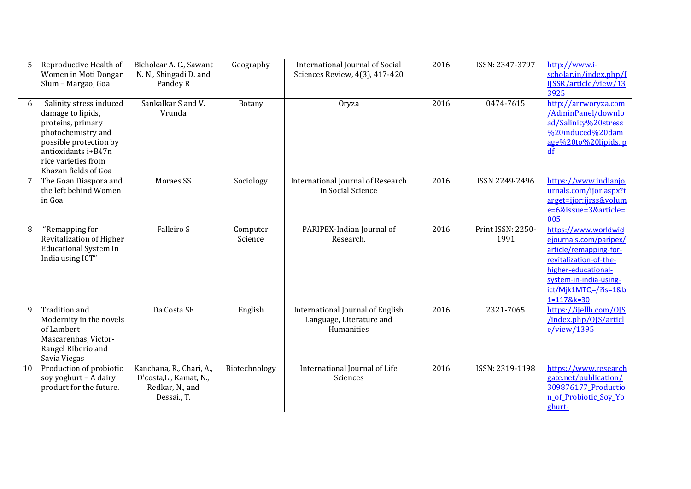|    | Reproductive Health of<br>Women in Moti Dongar<br>Slum - Margao, Goa                                                                                                                    | Bicholcar A. C., Sawant<br>N. N., Shingadi D. and<br>Pandey R                         | Geography           | <b>International Journal of Social</b><br>Sciences Review, 4(3), 417-420   | 2016 | ISSN: 2347-3797           | http://www.i-<br>scholar.in/index.php/I<br>IJSSR/article/view/13<br>3925                                                                                                                  |
|----|-----------------------------------------------------------------------------------------------------------------------------------------------------------------------------------------|---------------------------------------------------------------------------------------|---------------------|----------------------------------------------------------------------------|------|---------------------------|-------------------------------------------------------------------------------------------------------------------------------------------------------------------------------------------|
| 6  | Salinity stress induced<br>damage to lipids,<br>proteins, primary<br>photochemistry and<br>possible protection by<br>antioxidants i+B47n<br>rice varieties from<br>Khazan fields of Goa | Sankalkar S and V.<br>Vrunda                                                          | Botany              | Oryza                                                                      | 2016 | 0474-7615                 | http://arrworyza.com<br>/AdminPanel/downlo<br>ad/Salinity%20stress<br>%20induced%20dam<br>age%20to%20lipids,.p<br>df                                                                      |
|    | The Goan Diaspora and<br>the left behind Women<br>in Goa                                                                                                                                | Moraes SS                                                                             | Sociology           | International Journal of Research<br>in Social Science                     | 2016 | ISSN 2249-2496            | https://www.indianjo<br>urnals.com/ijor.aspx?t<br>arget=ijor:ijrss&volum<br>e=6&issue=3&article=<br>005                                                                                   |
| 8  | "Remapping for<br>Revitalization of Higher<br><b>Educational System In</b><br>India using ICT"                                                                                          | Falleiro S                                                                            | Computer<br>Science | PARIPEX-Indian Journal of<br>Research.                                     | 2016 | Print ISSN: 2250-<br>1991 | https://www.worldwid<br>ejournals.com/paripex/<br>article/remapping-for-<br>revitalization-of-the-<br>higher-educational-<br>system-in-india-using-<br>ict/Mjk1MTQ=/?is=1&b<br>1=117&k=30 |
| q  | <b>Tradition</b> and<br>Modernity in the novels<br>of Lambert<br>Mascarenhas, Victor-<br>Rangel Riberio and<br>Savia Viegas                                                             | Da Costa SF                                                                           | English             | International Journal of English<br>Language, Literature and<br>Humanities | 2016 | 2321-7065                 | https://ijellh.com/0JS<br>/index.php/0JS/articl<br>e/view/1395                                                                                                                            |
| 10 | Production of probiotic<br>soy yoghurt - A dairy<br>product for the future.                                                                                                             | Kanchana, R., Chari, A.,<br>D'costa, L., Kamat, N.,<br>Redkar, N., and<br>Dessai., T. | Biotechnology       | International Journal of Life<br>Sciences                                  | 2016 | ISSN: 2319-1198           | https://www.research<br>gate.net/publication/<br>309876177 Productio<br>n of Probiotic Soy Yo<br>ghurt-                                                                                   |